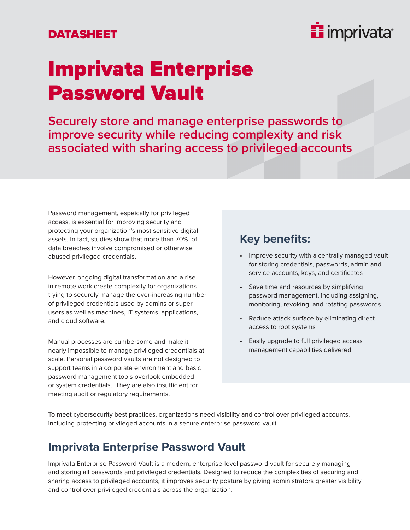#### DATASHEET



## Imprivata Enterprise Password Vault

**Securely store and manage enterprise passwords to improve security while reducing complexity and risk associated with sharing access to privileged accounts**

Password management, espeically for privileged access, is essential for improving security and protecting your organization's most sensitive digital assets. In fact, studies show that more than 70% of data breaches involve compromised or otherwise abused privileged credentials.

However, ongoing digital transformation and a rise in remote work create complexity for organizations trying to securely manage the ever-increasing number of privileged credentials used by admins or super users as well as machines, IT systems, applications, and cloud software.

Manual processes are cumbersome and make it nearly impossible to manage privileged credentials at scale. Personal password vaults are not designed to support teams in a corporate environment and basic password management tools overlook embedded or system credentials. They are also insufficient for meeting audit or regulatory requirements.

#### **Key benefits:**

- Improve security with a centrally managed vault for storing credentials, passwords, admin and service accounts, keys, and certificates
- Save time and resources by simplifying password management, including assigning, monitoring, revoking, and rotating passwords
- Reduce attack surface by eliminating direct access to root systems
- Easily upgrade to full privileged access management capabilities delivered

To meet cybersecurity best practices, organizations need visibility and control over privileged accounts, including protecting privileged accounts in a secure enterprise password vault.

#### **Imprivata Enterprise Password Vault**

Imprivata Enterprise Password Vault is a modern, enterprise-level password vault for securely managing and storing all passwords and privileged credentials. Designed to reduce the complexities of securing and sharing access to privileged accounts, it improves security posture by giving administrators greater visibility and control over privileged credentials across the organization.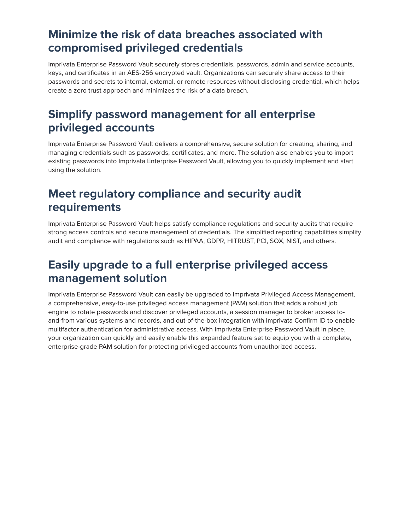#### **Minimize the risk of data breaches associated with compromised privileged credentials**

Imprivata Enterprise Password Vault securely stores credentials, passwords, admin and service accounts, keys, and certificates in an AES-256 encrypted vault. Organizations can securely share access to their passwords and secrets to internal, external, or remote resources without disclosing credential, which helps create a zero trust approach and minimizes the risk of a data breach.

### **Simplify password management for all enterprise privileged accounts**

Imprivata Enterprise Password Vault delivers a comprehensive, secure solution for creating, sharing, and managing credentials such as passwords, certificates, and more. The solution also enables you to import existing passwords into Imprivata Enterprise Password Vault, allowing you to quickly implement and start using the solution.

#### **Meet regulatory compliance and security audit requirements**

Imprivata Enterprise Password Vault helps satisfy compliance regulations and security audits that require strong access controls and secure management of credentials. The simplified reporting capabilities simplify audit and compliance with regulations such as HIPAA, GDPR, HITRUST, PCI, SOX, NIST, and others.

### **Easily upgrade to a full enterprise privileged access management solution**

Imprivata Enterprise Password Vault can easily be upgraded to Imprivata Privileged Access Management, a comprehensive, easy-to-use privileged access management (PAM) solution that adds a robust job engine to rotate passwords and discover privileged accounts, a session manager to broker access toand-from various systems and records, and out-of-the-box integration with Imprivata Confirm ID to enable multifactor authentication for administrative access. With Imprivata Enterprise Password Vault in place, your organization can quickly and easily enable this expanded feature set to equip you with a complete, enterprise-grade PAM solution for protecting privileged accounts from unauthorized access.